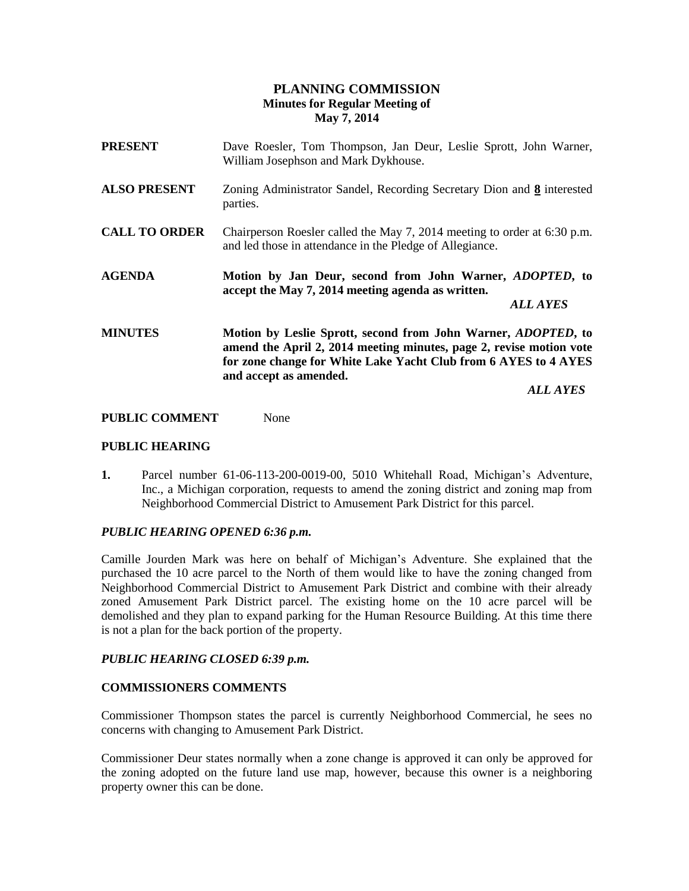## **PLANNING COMMISSION Minutes for Regular Meeting of May 7, 2014**

| <b>PRESENT</b>       | Dave Roesler, Tom Thompson, Jan Deur, Leslie Sprott, John Warner,<br>William Josephson and Mark Dykhouse.                                                                                                                                 |  |
|----------------------|-------------------------------------------------------------------------------------------------------------------------------------------------------------------------------------------------------------------------------------------|--|
| <b>ALSO PRESENT</b>  | Zoning Administrator Sandel, Recording Secretary Dion and 8 interested<br>parties.                                                                                                                                                        |  |
| <b>CALL TO ORDER</b> | Chairperson Roesler called the May 7, 2014 meeting to order at 6:30 p.m.<br>and led those in attendance in the Pledge of Allegiance.                                                                                                      |  |
| <b>AGENDA</b>        | Motion by Jan Deur, second from John Warner, ADOPTED, to<br>accept the May 7, 2014 meeting agenda as written.<br><i><b>ALL AYES</b></i>                                                                                                   |  |
| <b>MINUTES</b>       | Motion by Leslie Sprott, second from John Warner, <i>ADOPTED</i> , to<br>amend the April 2, 2014 meeting minutes, page 2, revise motion vote<br>for zone change for White Lake Yacht Club from 6 AYES to 4 AYES<br>and accept as amended. |  |
|                      | <b>ALL AYES</b>                                                                                                                                                                                                                           |  |

# **PUBLIC COMMENT** None

## **PUBLIC HEARING**

**1.** Parcel number 61-06-113-200-0019-00, 5010 Whitehall Road, Michigan's Adventure, Inc., a Michigan corporation, requests to amend the zoning district and zoning map from Neighborhood Commercial District to Amusement Park District for this parcel.

## *PUBLIC HEARING OPENED 6:36 p.m.*

Camille Jourden Mark was here on behalf of Michigan's Adventure. She explained that the purchased the 10 acre parcel to the North of them would like to have the zoning changed from Neighborhood Commercial District to Amusement Park District and combine with their already zoned Amusement Park District parcel. The existing home on the 10 acre parcel will be demolished and they plan to expand parking for the Human Resource Building. At this time there is not a plan for the back portion of the property.

## *PUBLIC HEARING CLOSED 6:39 p.m.*

## **COMMISSIONERS COMMENTS**

Commissioner Thompson states the parcel is currently Neighborhood Commercial, he sees no concerns with changing to Amusement Park District.

Commissioner Deur states normally when a zone change is approved it can only be approved for the zoning adopted on the future land use map, however, because this owner is a neighboring property owner this can be done.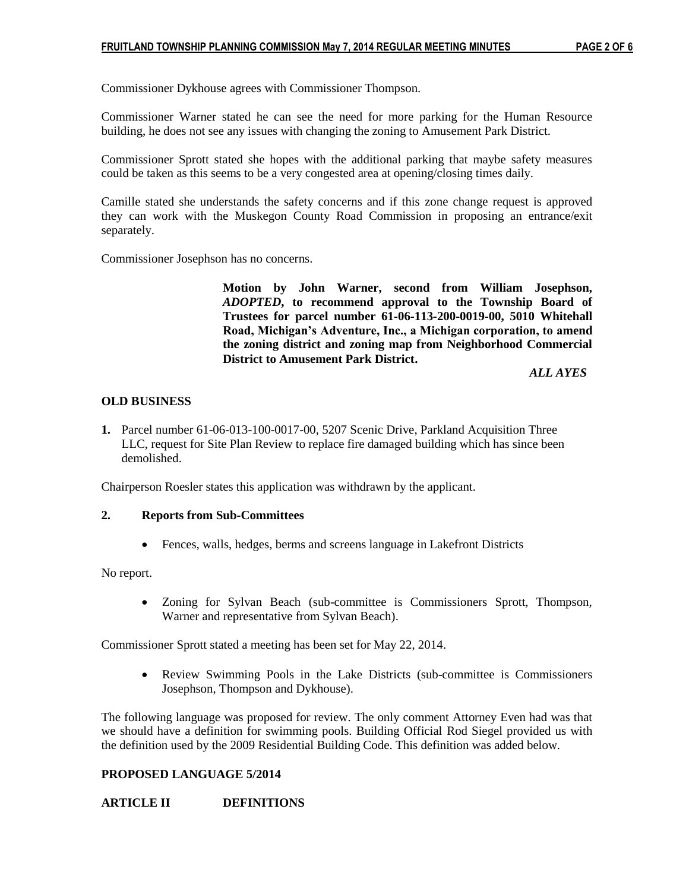Commissioner Dykhouse agrees with Commissioner Thompson.

Commissioner Warner stated he can see the need for more parking for the Human Resource building, he does not see any issues with changing the zoning to Amusement Park District.

Commissioner Sprott stated she hopes with the additional parking that maybe safety measures could be taken as this seems to be a very congested area at opening/closing times daily.

Camille stated she understands the safety concerns and if this zone change request is approved they can work with the Muskegon County Road Commission in proposing an entrance/exit separately.

Commissioner Josephson has no concerns.

**Motion by John Warner, second from William Josephson,**  *ADOPTED***, to recommend approval to the Township Board of Trustees for parcel number 61-06-113-200-0019-00, 5010 Whitehall Road, Michigan's Adventure, Inc., a Michigan corporation, to amend the zoning district and zoning map from Neighborhood Commercial District to Amusement Park District.**

 *ALL AYES*

## **OLD BUSINESS**

**1.** Parcel number 61-06-013-100-0017-00, 5207 Scenic Drive, Parkland Acquisition Three **1.** LLC, request for Site Plan Review to replace fire damaged building which has since been demolished.

Chairperson Roesler states this application was withdrawn by the applicant.

#### **2. Reports from Sub-Committees**

Fences, walls, hedges, berms and screens language in Lakefront Districts

No report.

 Zoning for Sylvan Beach (sub-committee is Commissioners Sprott, Thompson, Warner and representative from Sylvan Beach).

Commissioner Sprott stated a meeting has been set for May 22, 2014.

 Review Swimming Pools in the Lake Districts (sub-committee is Commissioners Josephson, Thompson and Dykhouse).

The following language was proposed for review. The only comment Attorney Even had was that we should have a definition for swimming pools. Building Official Rod Siegel provided us with the definition used by the 2009 Residential Building Code. This definition was added below.

## **PROPOSED LANGUAGE 5/2014**

## **ARTICLE II DEFINITIONS**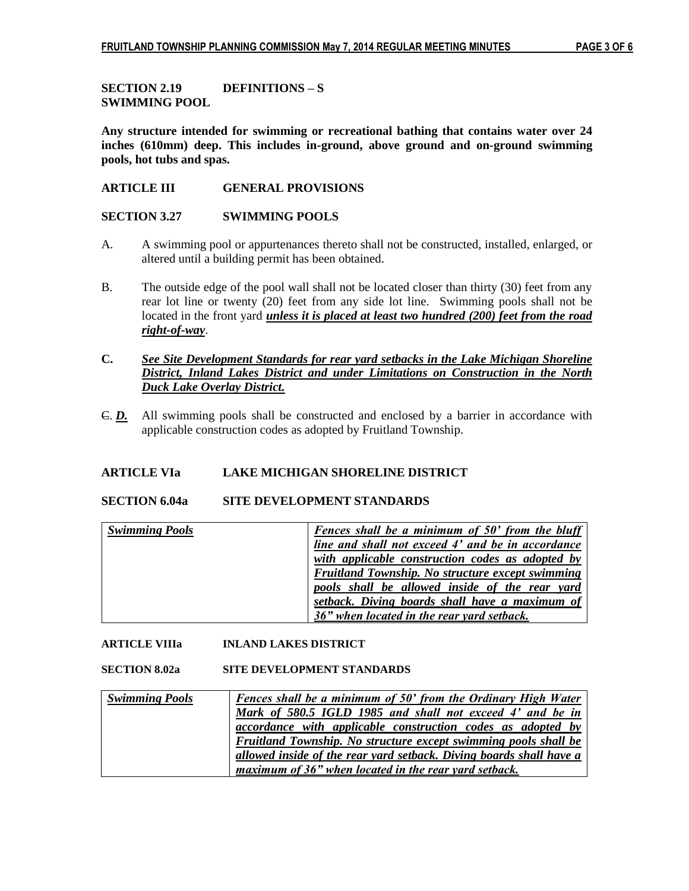**SECTION 2.19 DEFINITIONS – S SWIMMING POOL**

**Any structure intended for swimming or recreational bathing that contains water over 24 inches (610mm) deep. This includes in-ground, above ground and on-ground swimming pools, hot tubs and spas.**

## **ARTICLE III GENERAL PROVISIONS**

**SECTION 3.27 SWIMMING POOLS**

- A. A swimming pool or appurtenances thereto shall not be constructed, installed, enlarged, or altered until a building permit has been obtained.
- B. The outside edge of the pool wall shall not be located closer than thirty (30) feet from any rear lot line or twenty (20) feet from any side lot line. Swimming pools shall not be located in the front yard *unless it is placed at least two hundred (200) feet from the road right-of-way*.
- **C.** *See Site Development Standards for rear yard setbacks in the Lake Michigan Shoreline District, Inland Lakes District and under Limitations on Construction in the North Duck Lake Overlay District.*
- C. *D.* All swimming pools shall be constructed and enclosed by a barrier in accordance with applicable construction codes as adopted by Fruitland Township.

## **ARTICLE VIa LAKE MICHIGAN SHORELINE DISTRICT**

#### **SECTION 6.04a SITE DEVELOPMENT STANDARDS**

| <b>Swimming Pools</b> | Fences shall be a minimum of 50' from the bluff   |
|-----------------------|---------------------------------------------------|
|                       | line and shall not exceed 4' and be in accordance |
|                       | with applicable construction codes as adopted by  |
|                       | Fruitland Township. No structure except swimming  |
|                       | pools shall be allowed inside of the rear yard    |
|                       | setback. Diving boards shall have a maximum of    |
|                       | 36" when located in the rear yard setback.        |

## **ARTICLE VIIIa INLAND LAKES DISTRICT**

#### **SECTION 8.02a SITE DEVELOPMENT STANDARDS**

| <b>Swimming Pools</b> | Fences shall be a minimum of 50' from the Ordinary High Water          |
|-----------------------|------------------------------------------------------------------------|
|                       | Mark of 580.5 IGLD 1985 and shall not exceed 4' and be in              |
|                       | <i>accordance with applicable construction codes as adopted by</i>     |
|                       | <b>Fruitland Township.</b> No structure except swimming pools shall be |
|                       | allowed inside of the rear yard setback. Diving boards shall have a    |
|                       | maximum of 36" when located in the rear yard setback.                  |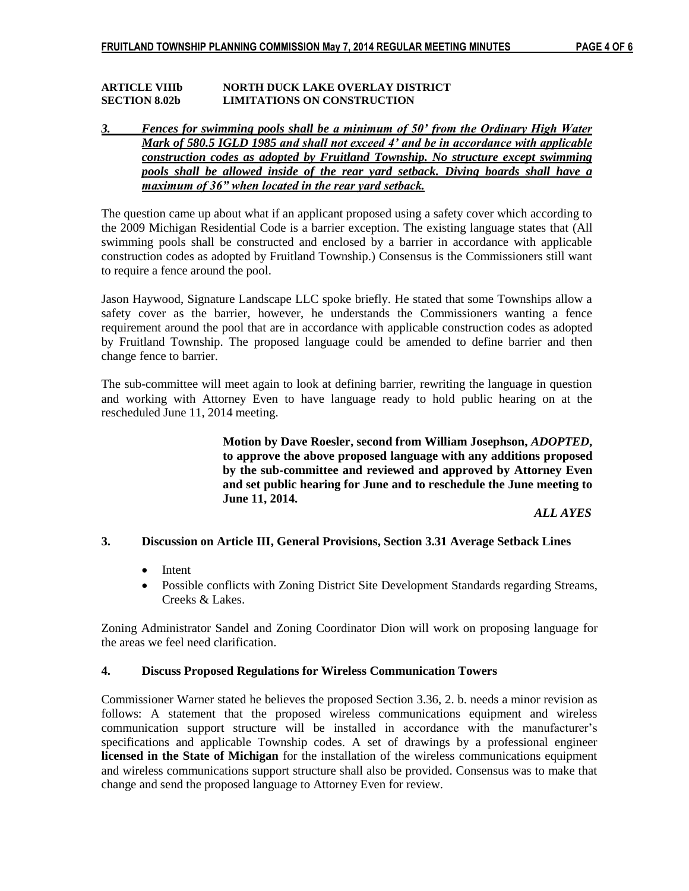#### **ARTICLE VIIIb NORTH DUCK LAKE OVERLAY DISTRICT SECTION 8.02b LIMITATIONS ON CONSTRUCTION**

## *3. Fences for swimming pools shall be a minimum of 50' from the Ordinary High Water Mark of 580.5 IGLD 1985 and shall not exceed 4' and be in accordance with applicable construction codes as adopted by Fruitland Township. No structure except swimming pools shall be allowed inside of the rear yard setback. Diving boards shall have a maximum of 36" when located in the rear yard setback.*

The question came up about what if an applicant proposed using a safety cover which according to the 2009 Michigan Residential Code is a barrier exception. The existing language states that (All swimming pools shall be constructed and enclosed by a barrier in accordance with applicable construction codes as adopted by Fruitland Township.) Consensus is the Commissioners still want to require a fence around the pool.

Jason Haywood, Signature Landscape LLC spoke briefly. He stated that some Townships allow a safety cover as the barrier, however, he understands the Commissioners wanting a fence requirement around the pool that are in accordance with applicable construction codes as adopted by Fruitland Township. The proposed language could be amended to define barrier and then change fence to barrier.

The sub-committee will meet again to look at defining barrier, rewriting the language in question and working with Attorney Even to have language ready to hold public hearing on at the rescheduled June 11, 2014 meeting.

> **Motion by Dave Roesler, second from William Josephson,** *ADOPTED***, to approve the above proposed language with any additions proposed by the sub-committee and reviewed and approved by Attorney Even and set public hearing for June and to reschedule the June meeting to June 11, 2014.**

> > *ALL AYES*

## **3. Discussion on Article III, General Provisions, Section 3.31 Average Setback Lines**

- Intent
- Possible conflicts with Zoning District Site Development Standards regarding Streams, Creeks & Lakes.

Zoning Administrator Sandel and Zoning Coordinator Dion will work on proposing language for the areas we feel need clarification.

## **4. Discuss Proposed Regulations for Wireless Communication Towers**

Commissioner Warner stated he believes the proposed Section 3.36, 2. b. needs a minor revision as follows: A statement that the proposed wireless communications equipment and wireless communication support structure will be installed in accordance with the manufacturer's specifications and applicable Township codes. A set of drawings by a professional engineer **licensed in the State of Michigan** for the installation of the wireless communications equipment and wireless communications support structure shall also be provided. Consensus was to make that change and send the proposed language to Attorney Even for review.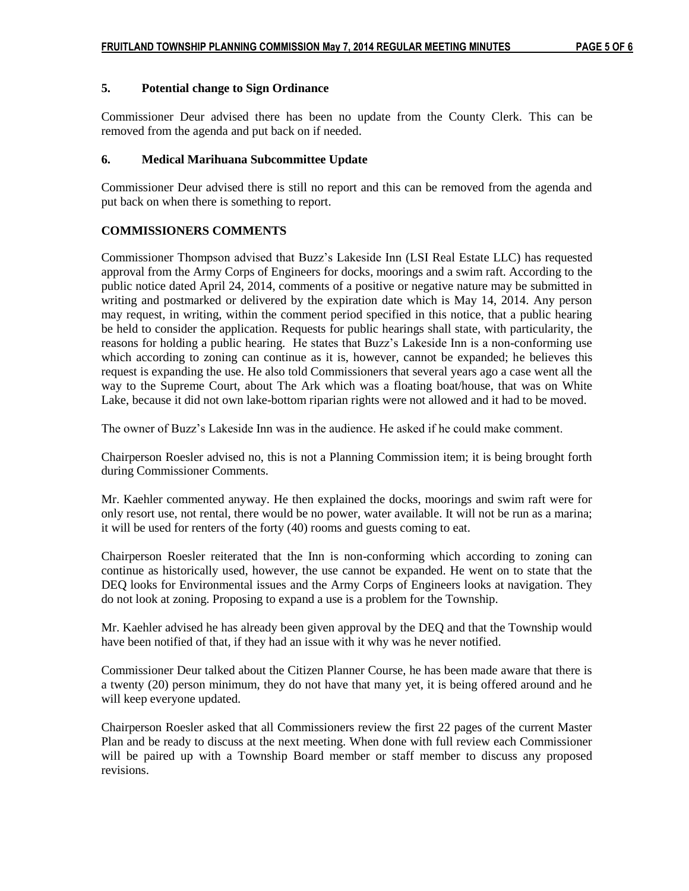## **5. Potential change to Sign Ordinance**

Commissioner Deur advised there has been no update from the County Clerk. This can be removed from the agenda and put back on if needed.

#### **6. Medical Marihuana Subcommittee Update**

Commissioner Deur advised there is still no report and this can be removed from the agenda and put back on when there is something to report.

## **COMMISSIONERS COMMENTS**

Commissioner Thompson advised that Buzz's Lakeside Inn (LSI Real Estate LLC) has requested approval from the Army Corps of Engineers for docks, moorings and a swim raft. According to the public notice dated April 24, 2014, comments of a positive or negative nature may be submitted in writing and postmarked or delivered by the expiration date which is May 14, 2014. Any person may request, in writing, within the comment period specified in this notice, that a public hearing be held to consider the application. Requests for public hearings shall state, with particularity, the reasons for holding a public hearing. He states that Buzz's Lakeside Inn is a non-conforming use which according to zoning can continue as it is, however, cannot be expanded; he believes this request is expanding the use. He also told Commissioners that several years ago a case went all the way to the Supreme Court, about The Ark which was a floating boat/house, that was on White Lake, because it did not own lake-bottom riparian rights were not allowed and it had to be moved.

The owner of Buzz's Lakeside Inn was in the audience. He asked if he could make comment.

Chairperson Roesler advised no, this is not a Planning Commission item; it is being brought forth during Commissioner Comments.

Mr. Kaehler commented anyway. He then explained the docks, moorings and swim raft were for only resort use, not rental, there would be no power, water available. It will not be run as a marina; it will be used for renters of the forty (40) rooms and guests coming to eat.

Chairperson Roesler reiterated that the Inn is non-conforming which according to zoning can continue as historically used, however, the use cannot be expanded. He went on to state that the DEQ looks for Environmental issues and the Army Corps of Engineers looks at navigation. They do not look at zoning. Proposing to expand a use is a problem for the Township.

Mr. Kaehler advised he has already been given approval by the DEQ and that the Township would have been notified of that, if they had an issue with it why was he never notified.

Commissioner Deur talked about the Citizen Planner Course, he has been made aware that there is a twenty (20) person minimum, they do not have that many yet, it is being offered around and he will keep everyone updated.

Chairperson Roesler asked that all Commissioners review the first 22 pages of the current Master Plan and be ready to discuss at the next meeting. When done with full review each Commissioner will be paired up with a Township Board member or staff member to discuss any proposed revisions.